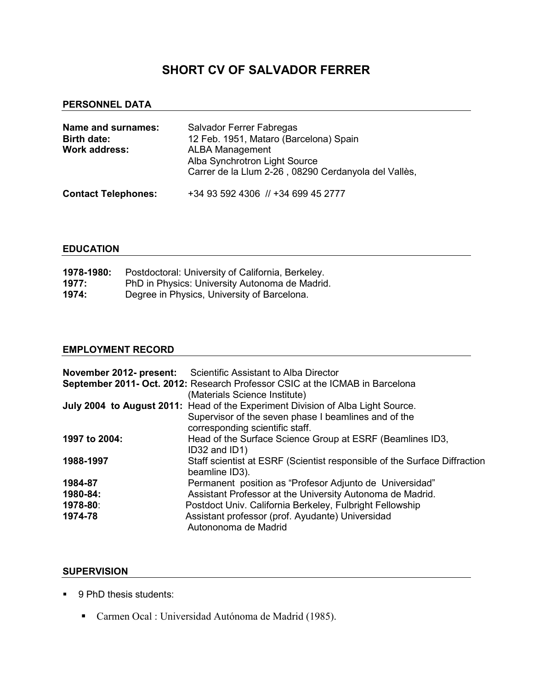# SHORT CV OF SALVADOR FERRER

#### PERSONNEL DATA

| Name and surnames:<br><b>Birth date:</b><br>Work address: | <b>Salvador Ferrer Fabregas</b><br>12 Feb. 1951, Mataro (Barcelona) Spain<br><b>ALBA Management</b><br>Alba Synchrotron Light Source<br>Carrer de la Llum 2-26, 08290 Cerdanyola del Vallès, |
|-----------------------------------------------------------|----------------------------------------------------------------------------------------------------------------------------------------------------------------------------------------------|
| <b>Contact Telephones:</b>                                | +34 93 592 4306 // +34 699 45 2777                                                                                                                                                           |

#### EDUCATION

| 1978-1980: | Postdoctoral: University of California, Berkeley. |
|------------|---------------------------------------------------|
| 1977:      | PhD in Physics: University Autonoma de Madrid.    |
| 1974:      | Degree in Physics, University of Barcelona.       |

#### EMPLOYMENT RECORD

|               | <b>November 2012- present:</b> Scientific Assistant to Alba Director            |
|---------------|---------------------------------------------------------------------------------|
|               | September 2011- Oct. 2012: Research Professor CSIC at the ICMAB in Barcelona    |
|               | (Materials Science Institute)                                                   |
|               | July 2004 to August 2011: Head of the Experiment Division of Alba Light Source. |
|               | Supervisor of the seven phase I beamlines and of the                            |
|               | corresponding scientific staff.                                                 |
| 1997 to 2004: | Head of the Surface Science Group at ESRF (Beamlines ID3,                       |
|               | ID32 and ID1)                                                                   |
| 1988-1997     | Staff scientist at ESRF (Scientist responsible of the Surface Diffraction       |
|               | beamline ID3).                                                                  |
| 1984-87       | Permanent position as "Profesor Adjunto de Universidad"                         |
| 1980-84:      | Assistant Professor at the University Autonoma de Madrid.                       |
| 1978-80:      | Postdoct Univ. California Berkeley, Fulbright Fellowship                        |
| 1974-78       | Assistant professor (prof. Ayudante) Universidad                                |
|               | Autononoma de Madrid                                                            |

#### SUPERVISION

- 9 PhD thesis students:
	- Carmen Ocal : Universidad Autónoma de Madrid (1985).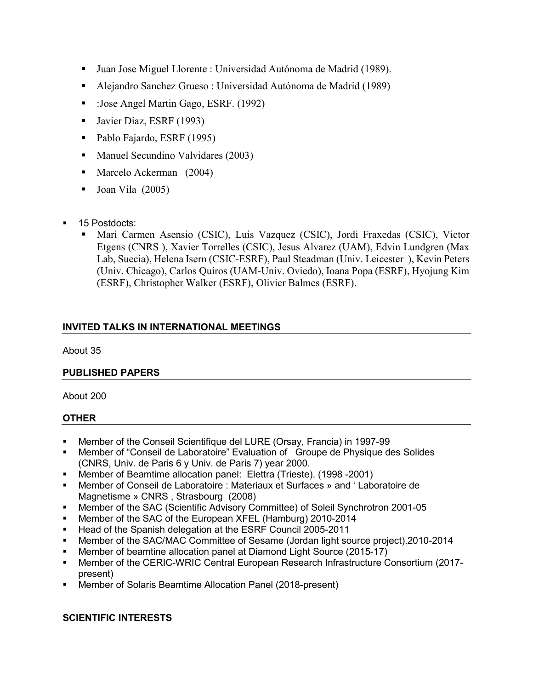- Juan Jose Miguel Llorente : Universidad Autónoma de Madrid (1989).
- Alejandro Sanchez Grueso : Universidad Autónoma de Madrid (1989)
- :Jose Angel Martin Gago, ESRF. (1992)
- **Javier Diaz, ESRF (1993)**
- Pablo Fajardo, ESRF (1995)
- Manuel Secundino Valvidares (2003)
- **Marcelo Ackerman** (2004)
- **Joan Vila**  $(2005)$
- 15 Postdocts:
	- Mari Carmen Asensio (CSIC), Luis Vazquez (CSIC), Jordi Fraxedas (CSIC), Victor Etgens (CNRS ), Xavier Torrelles (CSIC), Jesus Alvarez (UAM), Edvin Lundgren (Max Lab, Suecia), Helena Isern (CSIC-ESRF), Paul Steadman (Univ. Leicester ), Kevin Peters (Univ. Chicago), Carlos Quiros (UAM-Univ. Oviedo), Ioana Popa (ESRF), Hyojung Kim (ESRF), Christopher Walker (ESRF), Olivier Balmes (ESRF).

# INVITED TALKS IN INTERNATIONAL MEETINGS

About 35

# PUBLISHED PAPERS

About 200

# **OTHER**

- Member of the Conseil Scientifique del LURE (Orsay, Francia) in 1997-99
- Member of "Conseil de Laboratoire" Evaluation of Groupe de Physique des Solides (CNRS, Univ. de Paris 6 y Univ. de Paris 7) year 2000.
- Member of Beamtime allocation panel: Elettra (Trieste). (1998 -2001)
- Member of Conseil de Laboratoire : Materiaux et Surfaces » and ' Laboratoire de Magnetisme » CNRS , Strasbourg (2008)
- Member of the SAC (Scientific Advisory Committee) of Soleil Synchrotron 2001-05
- Member of the SAC of the European XFEL (Hamburg) 2010-2014
- Head of the Spanish delegation at the ESRF Council 2005-2011
- Member of the SAC/MAC Committee of Sesame (Jordan light source project).2010-2014
- Member of beamtine allocation panel at Diamond Light Source (2015-17)
- Member of the CERIC-WRIC Central European Research Infrastructure Consortium (2017 present)
- Member of Solaris Beamtime Allocation Panel (2018-present)

# SCIENTIFIC INTERESTS